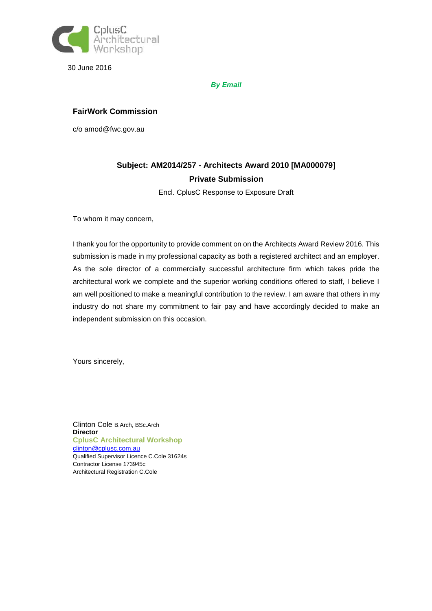

30 June 2016

*By Email*

#### **FairWork Commission**

c/o amod@fwc.gov.au

## **Subject: AM2014/257 - Architects Award 2010 [MA000079] Private Submission**

Encl. CplusC Response to Exposure Draft

To whom it may concern,

I thank you for the opportunity to provide comment on on the Architects Award Review 2016. This submission is made in my professional capacity as both a registered architect and an employer. As the sole director of a commercially successful architecture firm which takes pride the architectural work we complete and the superior working conditions offered to staff, I believe I am well positioned to make a meaningful contribution to the review. I am aware that others in my industry do not share my commitment to fair pay and have accordingly decided to make an independent submission on this occasion.

Yours sincerely,

Clinton Cole B.Arch, BSc.Arch **Director CplusC Architectural Workshop** [clinton@cplusc.com.au](mailto:clinton@cplusc.com.au) Qualified Supervisor Licence C.Cole 31624s Contractor License 173945c Architectural Registration C.Cole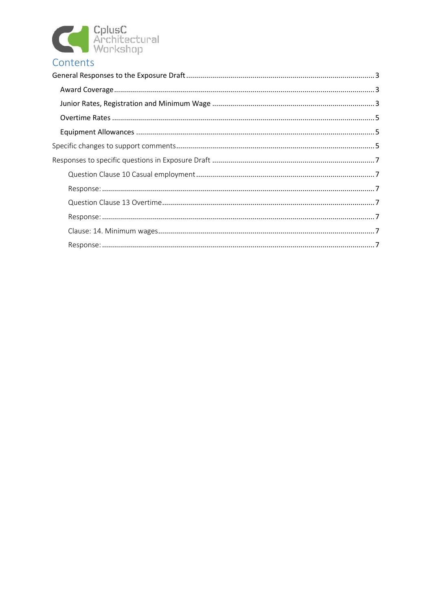

# Contents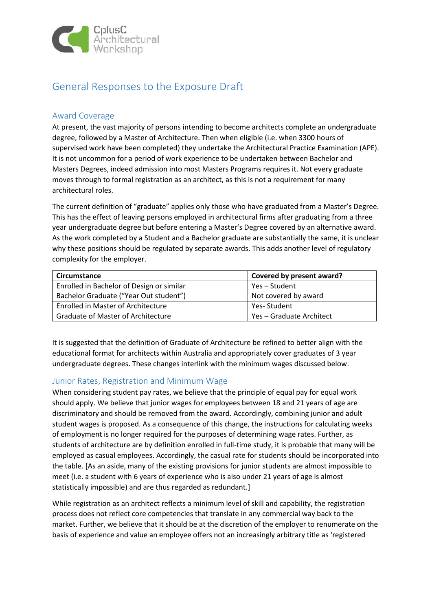

# <span id="page-2-1"></span><span id="page-2-0"></span>General Responses to the Exposure Draft

#### Award Coverage

At present, the vast majority of persons intending to become architects complete an undergraduate degree, followed by a Master of Architecture. Then when eligible (i.e. when 3300 hours of supervised work have been completed) they undertake the Architectural Practice Examination (APE). It is not uncommon for a period of work experience to be undertaken between Bachelor and Masters Degrees, indeed admission into most Masters Programs requires it. Not every graduate moves through to formal registration as an architect, as this is not a requirement for many architectural roles.

The current definition of "graduate" applies only those who have graduated from a Master's Degree. This has the effect of leaving persons employed in architectural firms after graduating from a three year undergraduate degree but before entering a Master's Degree covered by an alternative award. As the work completed by a Student and a Bachelor graduate are substantially the same, it is unclear why these positions should be regulated by separate awards. This adds another level of regulatory complexity for the employer.

| <b>Circumstance</b>                                            | Covered by present award? |  |
|----------------------------------------------------------------|---------------------------|--|
| Enrolled in Bachelor of Design or similar                      | Yes – Student             |  |
| Bachelor Graduate ("Year Out student")                         | Not covered by award      |  |
| Enrolled in Master of Architecture                             | Yes-Student               |  |
| Graduate of Master of Architecture<br>Yes – Graduate Architect |                           |  |

It is suggested that the definition of Graduate of Architecture be refined to better align with the educational format for architects within Australia and appropriately cover graduates of 3 year undergraduate degrees. These changes interlink with the minimum wages discussed below.

#### <span id="page-2-2"></span>Junior Rates, Registration and Minimum Wage

When considering student pay rates, we believe that the principle of equal pay for equal work should apply. We believe that junior wages for employees between 18 and 21 years of age are discriminatory and should be removed from the award. Accordingly, combining junior and adult student wages is proposed. As a consequence of this change, the instructions for calculating weeks of employment is no longer required for the purposes of determining wage rates. Further, as students of architecture are by definition enrolled in full-time study, it is probable that many will be employed as casual employees. Accordingly, the casual rate for students should be incorporated into the table. [As an aside, many of the existing provisions for junior students are almost impossible to meet (i.e. a student with 6 years of experience who is also under 21 years of age is almost statistically impossible) and are thus regarded as redundant.]

While registration as an architect reflects a minimum level of skill and capability, the registration process does not reflect core competencies that translate in any commercial way back to the market. Further, we believe that it should be at the discretion of the employer to renumerate on the basis of experience and value an employee offers not an increasingly arbitrary title as 'registered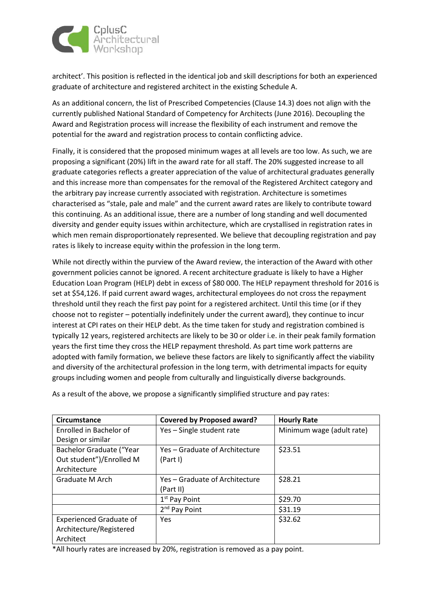

architect'. This position is reflected in the identical job and skill descriptions for both an experienced graduate of architecture and registered architect in the existing Schedule A.

As an additional concern, the list of Prescribed Competencies (Clause 14.3) does not align with the currently published National Standard of Competency for Architects (June 2016). Decoupling the Award and Registration process will increase the flexibility of each instrument and remove the potential for the award and registration process to contain conflicting advice.

Finally, it is considered that the proposed minimum wages at all levels are too low. As such, we are proposing a significant (20%) lift in the award rate for all staff. The 20% suggested increase to all graduate categories reflects a greater appreciation of the value of architectural graduates generally and this increase more than compensates for the removal of the Registered Architect category and the arbitrary pay increase currently associated with registration. Architecture is sometimes characterised as "stale, pale and male" and the current award rates are likely to contribute toward this continuing. As an additional issue, there are a number of long standing and well documented diversity and gender equity issues within architecture, which are crystallised in registration rates in which men remain disproportionately represented. We believe that decoupling registration and pay rates is likely to increase equity within the profession in the long term.

While not directly within the purview of the Award review, the interaction of the Award with other government policies cannot be ignored. A recent architecture graduate is likely to have a Higher Education Loan Program (HELP) debt in excess of \$80 000. The HELP repayment threshold for 2016 is set at \$54,126. If paid current award wages, architectural employees do not cross the repayment threshold until they reach the first pay point for a registered architect. Until this time (or if they choose not to register – potentially indefinitely under the current award), they continue to incur interest at CPI rates on their HELP debt. As the time taken for study and registration combined is typically 12 years, registered architects are likely to be 30 or older i.e. in their peak family formation years the first time they cross the HELP repayment threshold. As part time work patterns are adopted with family formation, we believe these factors are likely to significantly affect the viability and diversity of the architectural profession in the long term, with detrimental impacts for equity groups including women and people from culturally and linguistically diverse backgrounds.

| Circumstance                    | <b>Covered by Proposed award?</b> | <b>Hourly Rate</b>        |
|---------------------------------|-----------------------------------|---------------------------|
| Enrolled in Bachelor of         | Yes - Single student rate         | Minimum wage (adult rate) |
| Design or similar               |                                   |                           |
| <b>Bachelor Graduate ("Year</b> | Yes - Graduate of Architecture    | \$23.51                   |
| Out student")/Enrolled M        | (Part I)                          |                           |
| Architecture                    |                                   |                           |
| Graduate M Arch                 | Yes – Graduate of Architecture    | \$28.21                   |
|                                 | (Part II)                         |                           |
|                                 | 1 <sup>st</sup> Pay Point         | \$29.70                   |
|                                 | 2 <sup>nd</sup> Pay Point         | \$31.19                   |
| <b>Experienced Graduate of</b>  | Yes                               | \$32.62                   |
| Architecture/Registered         |                                   |                           |
| Architect                       |                                   |                           |

As a result of the above, we propose a significantly simplified structure and pay rates:

\*All hourly rates are increased by 20%, registration is removed as a pay point.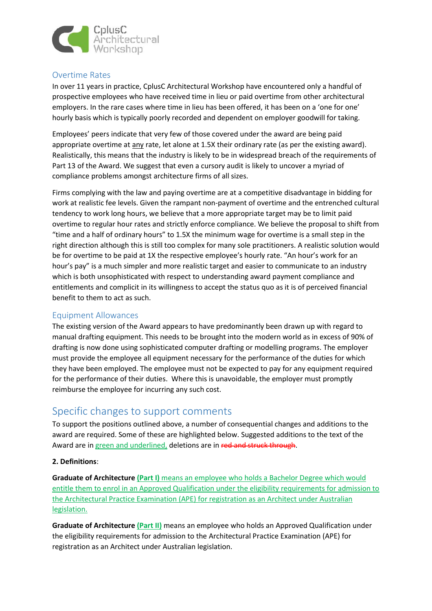

#### <span id="page-4-0"></span>Overtime Rates

In over 11 years in practice, CplusC Architectural Workshop have encountered only a handful of prospective employees who have received time in lieu or paid overtime from other architectural employers. In the rare cases where time in lieu has been offered, it has been on a 'one for one' hourly basis which is typically poorly recorded and dependent on employer goodwill for taking.

Employees' peers indicate that very few of those covered under the award are being paid appropriate overtime at any rate, let alone at 1.5X their ordinary rate (as per the existing award). Realistically, this means that the industry is likely to be in widespread breach of the requirements of Part 13 of the Award. We suggest that even a cursory audit is likely to uncover a myriad of compliance problems amongst architecture firms of all sizes.

Firms complying with the law and paying overtime are at a competitive disadvantage in bidding for work at realistic fee levels. Given the rampant non-payment of overtime and the entrenched cultural tendency to work long hours, we believe that a more appropriate target may be to limit paid overtime to regular hour rates and strictly enforce compliance. We believe the proposal to shift from "time and a half of ordinary hours" to 1.5X the minimum wage for overtime is a small step in the right direction although this is still too complex for many sole practitioners. A realistic solution would be for overtime to be paid at 1X the respective employee's hourly rate. "An hour's work for an hour's pay" is a much simpler and more realistic target and easier to communicate to an industry which is both unsophisticated with respect to understanding award payment compliance and entitlements and complicit in its willingness to accept the status quo as it is of perceived financial benefit to them to act as such.

#### <span id="page-4-1"></span>Equipment Allowances

The existing version of the Award appears to have predominantly been drawn up with regard to manual drafting equipment. This needs to be brought into the modern world as in excess of 90% of drafting is now done using sophisticated computer drafting or modelling programs. The employer must provide the employee all equipment necessary for the performance of the duties for which they have been employed. The employee must not be expected to pay for any equipment required for the performance of their duties. Where this is unavoidable, the employer must promptly reimburse the employee for incurring any such cost.

### <span id="page-4-2"></span>Specific changes to support comments

To support the positions outlined above, a number of consequential changes and additions to the award are required. Some of these are highlighted below. Suggested additions to the text of the Award are in green and underlined, deletions are in red and struck through.

#### **2. Definitions**:

**Graduate of Architecture (Part I)** means an employee who holds a Bachelor Degree which would entitle them to enrol in an Approved Qualification under the eligibility requirements for admission to the Architectural Practice Examination (APE) for registration as an Architect under Australian legislation.

**Graduate of Architecture (Part II)** means an employee who holds an Approved Qualification under the eligibility requirements for admission to the Architectural Practice Examination (APE) for registration as an Architect under Australian legislation.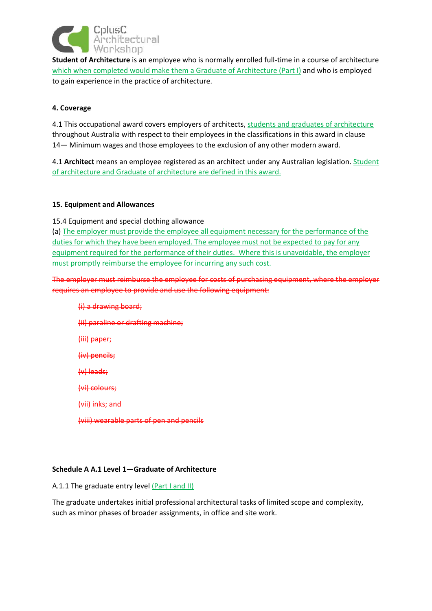

**Student of Architecture** is an employee who is normally enrolled full-time in a course of architecture which when completed would make them a Graduate of Architecture (Part I) and who is employed to gain experience in the practice of architecture.

#### **4. Coverage**

4.1 This occupational award covers employers of architects, students and graduates of architecture throughout Australia with respect to their employees in the classifications in this award in clause 14— Minimum wages and those employees to the exclusion of any other modern award.

4.1 **Architect** means an employee registered as an architect under any Australian legislation. Student of architecture and Graduate of architecture are defined in this award.

#### **15. Equipment and Allowances**

15.4 Equipment and special clothing allowance

(a) The employer must provide the employee all equipment necessary for the performance of the duties for which they have been employed. The employee must not be expected to pay for any equipment required for the performance of their duties. Where this is unavoidable, the employer must promptly reimburse the employee for incurring any such cost.

The employer must reimburse the employee for costs of purchasing equipment, where the employer requires an employee to provide and use the following equipment:

(i) a drawing board; (ii) paraline or drafting machine; (iii) paper; (iv) pencils;  $(v)$  leads; (vi) colours; (vii) inks; and (viii) wearable parts of pen and pencils

#### **Schedule A A.1 Level 1—Graduate of Architecture**

A.1.1 The graduate entry level (Part I and II)

The graduate undertakes initial professional architectural tasks of limited scope and complexity, such as minor phases of broader assignments, in office and site work.